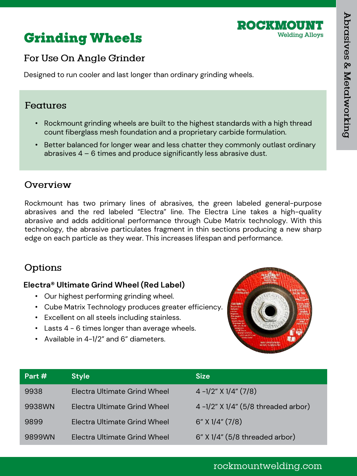



## For Use On Angle Grinder

Designed to run cooler and last longer than ordinary grinding wheels.

### Features

- Rockmount grinding wheels are built to the highest standards with a high thread count fiberglass mesh foundation and a proprietary carbide formulation.
- Better balanced for longer wear and less chatter they commonly outlast ordinary abrasives 4 – 6 times and produce significantly less abrasive dust.

### Overview

Rockmount has two primary lines of abrasives, the green labeled general-purpose abrasives and the red labeled "Electra" line. The Electra Line takes a high-quality abrasive and adds additional performance through Cube Matrix technology. With this technology, the abrasive particulates fragment in thin sections producing a new sharp edge on each particle as they wear. This increases lifespan and performance.

## Options

### **Electra® Ultimate Grind Wheel (Red Label)**

- Our highest performing grinding wheel.
- Cube Matrix Technology produces greater efficiency.
- Excellent on all steels including stainless.
- Lasts 4 6 times longer than average wheels.
- Available in 4-1/2" and 6" diameters.



| Part $#$ | <b>Style</b>                 | <b>Size</b>                        |
|----------|------------------------------|------------------------------------|
| 9938     | Electra Ultimate Grind Wheel | $4 - 1/2$ " X $1/4$ " (7/8)        |
| 9938WN   | Electra Ultimate Grind Wheel | 4-1/2" X 1/4" (5/8 threaded arbor) |
| 9899     | Electra Ultimate Grind Wheel | $6''$ X $1/4''$ (7/8)              |
| 9899WN   | Electra Ultimate Grind Wheel | $6"$ X 1/4" (5/8 threaded arbor)   |

## rockmountwelding.com